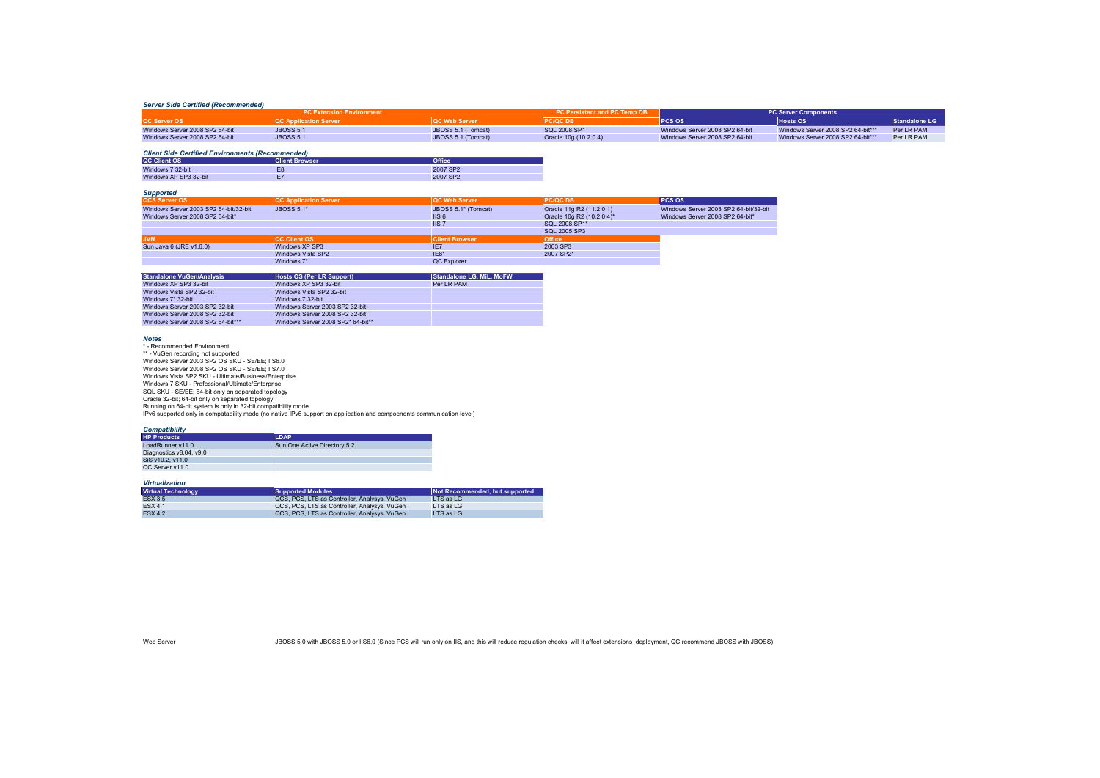### *Server Side Certified (Recommended)*

| <b>PC Extension Environment</b> |                                 | <b>PC Persistent and PC Temp DB</b> | <b>PC Server Components</b> |                                |                                   |               |
|---------------------------------|---------------------------------|-------------------------------------|-----------------------------|--------------------------------|-----------------------------------|---------------|
| QC Server OS                    | <b>IQC Application Server '</b> | <b>QC Web Server</b>                | <b>PC/QC DB</b>             | <b>PCS OS</b>                  | <b>Hosts OS</b>                   | Standalone LG |
| Windows Server 2008 SP2 64-bit  | <b>JBOSS 5.1</b>                | JBOSS 5.1 (Tomcat)                  | SQL 2008 SP1                | Windows Server 2008 SP2 64-bit | Windows Server 2008 SP2 64-bit*** | Per I R PAM   |
| Windows Server 2008 SP2 64-bit  | <b>JBOSS 5.1</b>                | JBOSS 5.1 (Tomcat)                  | Oracle 10g (10.2.0.4)       | Windows Server 2008 SP2 64-bit | Windows Server 2008 SP2 64-bit*** | Per LR PAM    |

#### *Client Side Certified Environments (Recommended)*

| <b>QC Client OS</b>   | <b>Client Browser</b> | <b>Office</b>        |
|-----------------------|-----------------------|----------------------|
| Windows 7 32-bit      | IE <sub>8</sub>       | 2007 SP <sub>2</sub> |
| Windows XP SP3 32-bit | IE7                   | 2007 SP <sub>2</sub> |

# *Supported*

| <b>QCS Server OS</b>                  | <b>QC Application Server</b> | <b>QC Web Server</b>  | <b>PC/QCDB</b>            | PCS OS                                |
|---------------------------------------|------------------------------|-----------------------|---------------------------|---------------------------------------|
| Windows Server 2003 SP2 64-bit/32-bit | <b>JBOSS 5.1*</b>            | JBOSS 5.1* (Tomcat)   | Oracle 11g R2 (11.2.0.1)  | Windows Server 2003 SP2 64-bit/32-bit |
| Windows Server 2008 SP2 64-bit*       |                              | IIS <sub>6</sub>      | Oracle 10g R2 (10.2.0.4)* | Windows Server 2008 SP2 64-bit*       |
|                                       |                              | IIS <sub>7</sub>      | SOI 2008 SP1*             |                                       |
|                                       |                              |                       | SQL 2005 SP3              |                                       |
| <b>JVM</b>                            | <b>OC Client OS</b>          | <b>Client Browser</b> | <b>Office</b>             |                                       |
| Sun Java 6 (JRE v1.6.0)               | Windows XP SP3               | IE7                   | 2003 SP3                  |                                       |
|                                       | Windows Vista SP2            | $IF8*$                | 2007 SP2*                 |                                       |
|                                       | Windows 7*                   | QC Explorer           |                           |                                       |

| <b>Standalone VuGen/Analysis</b>  | Hosts OS (Per LR Support)         | <b>Standalone LG. MiL. MoFW</b> |
|-----------------------------------|-----------------------------------|---------------------------------|
| Windows XP SP3 32-bit             | Windows XP SP3 32-bit             | Per I R PAM                     |
| Windows Vista SP2 32-bit          | Windows Vista SP2 32-bit          |                                 |
| Windows $7*32$ -bit               | Windows 7 32-bit                  |                                 |
| Windows Server 2003 SP2 32-bit    | Windows Server 2003 SP2 32-bit    |                                 |
| Windows Server 2008 SP2 32-bit    | Windows Server 2008 SP2 32-bit    |                                 |
| Windows Server 2008 SP2 64-bit*** | Windows Server 2008 SP2* 64-bit** |                                 |

### *Notes*

\* - Recommended Environment \*\* - VuGen recording not supported Windows Server 2003 SP2 OS SKU - SE/EE; IIS6.0 Windows Server 2008 SP2 OS SKU - SE/EE; IIS7.0 Windows Vista SP2 SKU - Ultimate/Business/Enterprise Windows 7 SKU - Professional/Ultimate/Enterprise SQL SKU - SE/EE; 64-bit only on separated topology Oracle 32-bit; 64-bit only on separated topology Running on 64-bit system is only in 32-bit compatibility mode IPv6 supported only in compatability mode (no native IPv6 support on application and compoenents communication level)

## *Compatibility*

| <b>HP Products</b>      | <b>LDAP</b>                  |
|-------------------------|------------------------------|
| LoadRunner v11.0        | Sun One Active Directory 5.2 |
| Diagnostics v8.04, v9.0 |                              |
| SiS v10.2, v11.0        |                              |
| QC Server v11.0         |                              |

## *Virtualization*

| <b>Virtual Technology</b> | Supported Modules                            | Not Recommended, but supported |
|---------------------------|----------------------------------------------|--------------------------------|
| <b>ESX 3.5</b>            | QCS, PCS, LTS as Controller, Analysys, VuGen | $\vert$ TS as $\vert$ G        |
| <b>FSX 4.1</b>            | QCS, PCS, LTS as Controller, Analysys, VuGen | $\vert$ TS as $\vert$ G        |
| <b>FSX 4.2</b>            | QCS, PCS, LTS as Controller, Analysys, VuGen | $\vert$ TS as $\vert$ G        |

Vieb Server Server JBOSS 5.0 with JBOSS 5.0 or IIS6.0 (Since PCS will run only on IIS, and this will reduce regulation checks, will it affect extensions deployment, QC recommend JBOSS with JBOSS)